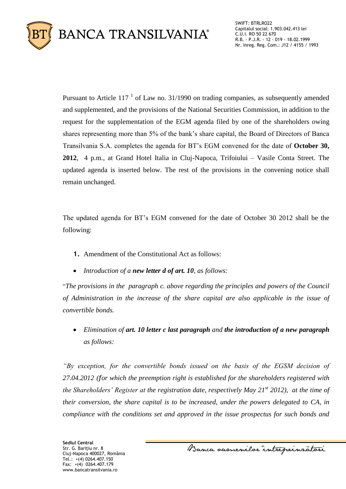

SWIFT: BTRLRO22 Capitalul social: 1.903.042.413 lei C.U.I. RO 50 22 670 R.B. - P.J.R. - 12 - 019 - 18.02.1999 Nr. Inreg. Reg. Com.: J12 / 4155 / 1993

Pursuant to Article  $117<sup>1</sup>$  of Law no. 31/1990 on trading companies, as subsequently amended and supplemented, and the provisions of the National Securities Commission, in addition to the request for the supplementation of the EGM agenda filed by one of the shareholders owing shares representing more than 5% of the bank's share capital, the Board of Directors of Banca Transilvania S.A. completes the agenda for BT's EGM convened for the date of **October 30, 2012**, 4 p.m., at Grand Hotel Italia in Cluj-Napoca, Trifoiului – Vasile Conta Street. The updated agenda is inserted below. The rest of the provisions in the convening notice shall remain unchanged.

The updated agenda for BT's EGM convened for the date of October 30 2012 shall be the following:

- **1.** Amendment of the Constitutional Act as follows:
- *Introduction of a new letter d of art. 10, as follows:*

"*The provisions in the paragraph c. above regarding the principles and powers of the Council of Administration in the increase of the share capital are also applicable in the issue of convertible bonds.* 

 *Elimination of art. 10 letter c last paragraph and the introduction of a new paragraph as follows:*

*"By exception, for the convertible bonds issued on the basis of the EGSM decision of 27.04.2012 (for which the preemption right is established for the shareholders registered with the Shareholders' Register at the registration date, respectively May 21st 2012), at the time of their conversion, the share capital is to be increased, under the powers delegated to CA, in compliance with the conditions set and approved in the issue prospectus for such bonds and* 

Banca samenilar intreprinratori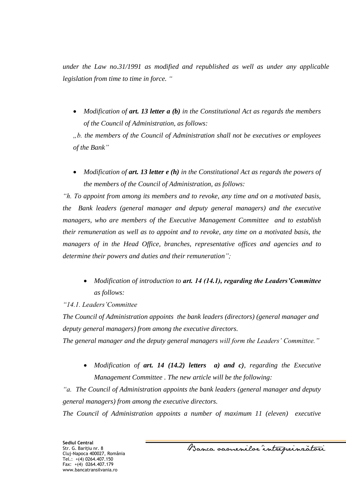*under the Law no.31/1991 as modified and republished as well as under any applicable legislation from time to time in force. "*

 *Modification of art. 13 letter a (b) in the Constitutional Act as regards the members of the Council of Administration, as follows:*

*"b. the members of the Council of Administration shall not be executives or employees of the Bank"*

 *Modification of art. 13 letter e (h) in the Constitutional Act as regards the powers of the members of the Council of Administration, as follows:*

*"h. To appoint from among its members and to revoke, any time and on a motivated basis, the Bank leaders (general manager and deputy general managers) and the executive managers, who are members of the Executive Management Committee and to establish their remuneration as well as to appoint and to revoke, any time on a motivated basis, the managers of in the Head Office, branches, representative offices and agencies and to determine their powers and duties and their remuneration";*

 *Modification of introduction to art. 14 (14.1), regarding the Leaders'Committee as follows:*

# *"14.1. Leaders'Committee*

*The Council of Administration appoints the bank leaders (directors) (general manager and deputy general managers) from among the executive directors.* 

*The general manager and the deputy general managers will form the Leaders' Committee."*

 *Modification of art. 14 (14.2) letters a) and c), regarding the Executive Management Committee . The new article will be the following:*

*"a. The Council of Administration appoints the bank leaders (general manager and deputy general managers) from among the executive directors.* 

*The Council of Administration appoints a number of maximum 11 (eleven) executive* 

Banca samenilor intreprinzatori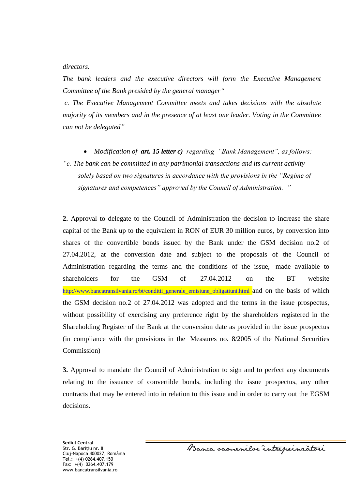*directors.*

*The bank leaders and the executive directors will form the Executive Management Committee of the Bank presided by the general manager"*

*c. The Executive Management Committee meets and takes decisions with the absolute majority of its members and in the presence of at least one leader. Voting in the Committee can not be delegated"*

 *Modification of art. 15 letter c) regarding "Bank Management", as follows: "c. The bank can be committed in any patrimonial transactions and its current activity solely based on two signatures in accordance with the provisions in the "Regime of signatures and competences" approved by the Council of Administration. "*

**2.** Approval to delegate to the Council of Administration the decision to increase the share capital of the Bank up to the equivalent in RON of EUR 30 million euros, by conversion into shares of the convertible bonds issued by the Bank under the GSM decision no.2 of 27.04.2012, at the conversion date and subject to the proposals of the Council of Administration regarding the terms and the conditions of the issue, made available to shareholders for the GSM of 27.04.2012 on the BT website [http://www.bancatransilvania.ro/bt/conditii\\_generale\\_emisiune\\_obligatiuni.html](http://www.bancatransilvania.ro/bt/conditii_generale_emisiune_obligatiuni.html) and on the basis of which the GSM decision no.2 of 27.04.2012 was adopted and the terms in the issue prospectus, without possibility of exercising any preference right by the shareholders registered in the Shareholding Register of the Bank at the conversion date as provided in the issue prospectus (in compliance with the provisions in the Measures no. 8/2005 of the National Securities Commission)

**3.** Approval to mandate the Council of Administration to sign and to perfect any documents relating to the issuance of convertible bonds, including the issue prospectus, any other contracts that may be entered into in relation to this issue and in order to carry out the EGSM decisions.

**Sediul Central** Str. G. Bariţiu nr. 8 Cluj-Napoca 400027, România Tel.: +(4) 0264.407.150 Fax: +(4) 0264.407.179 www.bancatransilvania.ro

Banca samenilor intreprinzatori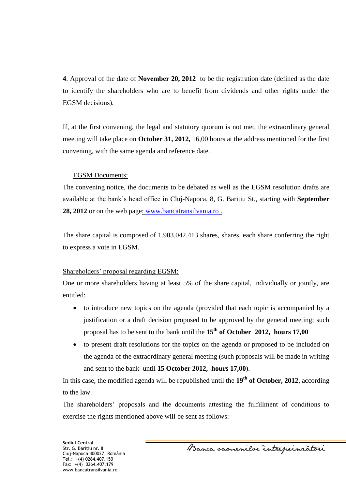**4**. Approval of the date of **November 20, 2012** to be the registration date (defined as the date to identify the shareholders who are to benefit from dividends and other rights under the EGSM decisions)*.*

If, at the first convening, the legal and statutory quorum is not met, the extraordinary general meeting will take place on **October 31, 2012,** 16,00 hours at the address mentioned for the first convening, with the same agenda and reference date.

### EGSM Documents:

The convening notice, the documents to be debated as well as the EGSM resolution drafts are available at the bank's head office in Cluj-Napoca, 8, G. Baritiu St., starting with **September 28, 2012** or on the web page: [www.bancatransilvania.ro](http://www.bancatransilvania.ro/) .

The share capital is composed of 1.903.042.413 shares, shares, each share conferring the right to express a vote in EGSM.

# Shareholders' proposal regarding EGSM:

One or more shareholders having at least 5% of the share capital, individually or jointly, are entitled:

- to introduce new topics on the agenda (provided that each topic is accompanied by a justification or a draft decision proposed to be approved by the general meeting; such proposal has to be sent to the bank until the **15th of October 2012, hours 17,00**
- to present draft resolutions for the topics on the agenda or proposed to be included on the agenda of the extraordinary general meeting (such proposals will be made in writing and sent to the bank until **15 October 2012, hours 17,00**).

In this case, the modified agenda will be republished until the **19th of October, 2012**, according to the law.

The shareholders' proposals and the documents attesting the fulfillment of conditions to exercise the rights mentioned above will be sent as follows:

Banca samenilor intreprinzatori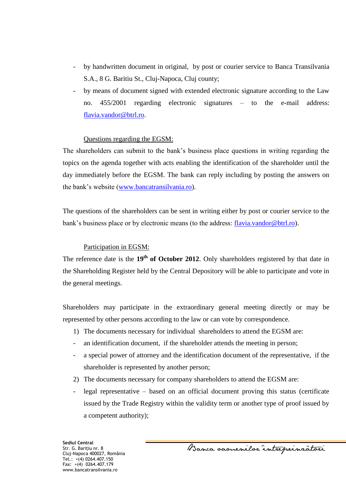- by handwritten document in original, by post or courier service to Banca Transilvania S.A., 8 G. Baritiu St., Cluj-Napoca, Cluj county;
- by means of document signed with extended electronic signature according to the Law no. 455/2001 regarding electronic signatures – to the e-mail address: [flavia.vandor@btrl.ro.](mailto:flavia.vandor@btrl.ro)

## Questions regarding the EGSM:

The shareholders can submit to the bank's business place questions in writing regarding the topics on the agenda together with acts enabling the identification of the shareholder until the day immediately before the EGSM. The bank can reply including by posting the answers on the bank's website [\(www.bancatransilvania.ro\)](http://www.bancatransilvania.ro/).

The questions of the shareholders can be sent in writing either by post or courier service to the bank's business place or by electronic means (to the address: [flavia.vandor@btrl.ro\)](mailto:flavia.vandor@btrl.ro).

### Participation in EGSM:

The reference date is the **19th of October 2012**. Only shareholders registered by that date in the Shareholding Register held by the Central Depository will be able to participate and vote in the general meetings.

Shareholders may participate in the extraordinary general meeting directly or may be represented by other persons according to the law or can vote by correspondence.

- 1) The documents necessary for individual shareholders to attend the EGSM are:
- an identification document, if the shareholder attends the meeting in person;
- a special power of attorney and the identification document of the representative, if the shareholder is represented by another person;
- 2) The documents necessary for company shareholders to attend the EGSM are:
- legal representative based on an official document proving this status (certificate issued by the Trade Registry within the validity term or another type of proof issued by a competent authority);

Banca samenilor intreprinzatori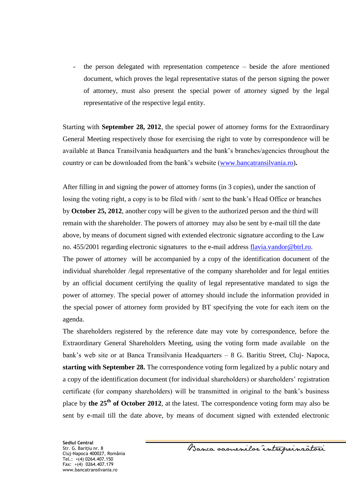- the person delegated with representation competence – beside the afore mentioned document, which proves the legal representative status of the person signing the power of attorney, must also present the special power of attorney signed by the legal representative of the respective legal entity.

Starting with **September 28, 2012**, the special power of attorney forms for the Extraordinary General Meeting respectively those for exercising the right to vote by correspondence will be available at Banca Transilvania headquarters and the bank's branches/agencies throughout the country or can be downloaded from the bank's website [\(www.bancatransilvania.ro\)](http://www.bancatransilvania.ro/)**.** 

After filling in and signing the power of attorney forms (in 3 copies), under the sanction of losing the voting right, a copy is to be filed with / sent to the bank's Head Office or branches by **October 25, 2012**, another copy will be given to the authorized person and the third will remain with the shareholder. The powers of attorney may also be sent by e-mail till the date above, by means of document signed with extended electronic signature according to the Law no. 455/2001 regarding electronic signatures to the e-mail address [flavia.vandor@btrl.ro.](mailto:flavia.vandor@btrl.ro)

The power of attorney will be accompanied by a copy of the identification document of the individual shareholder /legal representative of the company shareholder and for legal entities by an official document certifying the quality of legal representative mandated to sign the power of attorney. The special power of attorney should include the information provided in the special power of attorney form provided by BT specifying the vote for each item on the agenda.

The shareholders registered by the reference date may vote by correspondence, before the Extraordinary General Shareholders Meeting, using the voting form made available on the bank's web site or at Banca Transilvania Headquarters – 8 G. Baritiu Street, Cluj- Napoca, **starting with September 28.** The correspondence voting form legalized by a public notary and a copy of the identification document (for individual shareholders) or shareholders' registration certificate (for company shareholders) will be transmitted in original to the bank's business place by **the 25th of October 2012**, at the latest. The correspondence voting form may also be sent by e-mail till the date above, by means of document signed with extended electronic

**Sediul Central** Str. G. Bariţiu nr. 8 Cluj-Napoca 400027, România Tel.: +(4) 0264.407.150 Fax: +(4) 0264.407.179 www.bancatransilvania.ro

Banca samenilor intreprinzatori